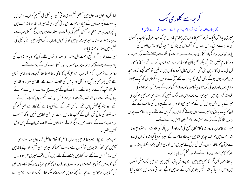تھا-اُن دو نوں مدرسوں میں مسیحی تعلیم دی جا تی تھی - یا ئنبل کی تعلیم کوان مدارس میں بہ نسبت دیگرمضامین کے زیادہ اہمیت دی جا تی تھی۔ حپونکہ میر احافظہ احیا تھا حب میں یانجویں درجہ میں پہنچا تومسیحی تعلیم کی لباقت اور معلومات میں میں دیگر مسیحی طلباء سے بدرجہا بہتر تھا۔شاید میری زند کی میں کوئی بھی ایساسال نہ گزراجبکہ میں نے پائبل کی تعليم ميں پہلاا نعام نہ يا يا ہو۔ میرے والد بزر گوار شیخ رحمت علی،ملنسار اور ہمدرد انسان تھے۔اُن کارویہ ہر مذہب کی جانب سے بہت آزادا نہ تھا۔ہندو،مسلمان اور مسیحی سب اُن کے دوست تھے۔ دوسرے فر قوں کے مسلما نوں سے بھی آپ کا کافی ریط صبط تھا اگرچہ وہ کارو باری انسان تھے لیکن پھر بھی ہر صبح وہ قرآن اور با ئبل کی تلاوت کرتے تھے۔فارسی شعراء اور فارسی ننٹر نگارآپ کو بے حد پسند تھے۔ برخلاف اُن کے میرے چچاصاحب حبوان کے چھوٹے بھائی تھے بہت ہی کٹر شیعہ تھے حو کہ صرف قرآن اور شیعہ تفسیر وں کامطالعہ کرتے تھے۔وہ میٹر یکولیشن پاس تھے۔ یہ اُس شہر کے لئے اُس زمانے کے لحاظ سے اعلیٰ قسم کی سند نصور کی جا تی تھی۔اُن کے کتب خانہ میں بہت سی ایسی کتابیں تھیں حو کہ مسیحیت اور ہندومذہب کے خلاف تھیں۔ دیگر فرقے مسلما نوں کے خلاف بھی ان کے پاس کافی کتب تھیں۔

جب میرے چچانے دیکھا کہ میں ہر سال پائبل کاانعام حاصل کرتا ہوں اور بہت سی سیتیں بھی مجھ کواز برہیں تواُنہوں نےمناسب سمجا کہ میری دینی تعلیم کواپنے ہاتھ میں لیں لہذااُ نہوں نے مجھے چند کتابیں پڑھنے کے لئے دیں۔اُس وقت میری عمر ٢ ا سال کی تھی۔میں چھٹی حماعت میں تھا۔سعدی اور فر دوسی کا کلام بخو بی پڑھ سکتا تھا۔ پس میں اُن کتا بوں کو حومیر ہے چچانے مجھ کو دیں حوب پڑھ سکتا تھا۔ایک کتاب نے میر ے

کر بلاسے کلوری تک

(از جناب علامہ بر کت اللہ صاحب ایم ۔اے۔ایف۔آر ۔اے ایس) میری پیدائش ایک شیعه مسلم خاندان میں بمقام ناروال حو که اب مغربی پنجاب پاکستان کی حدیر ہے ہوئی۔اس خاندان کولوگ اس کی بزر کی ،سنجید کی اور مذہبی اصول کی پابندی اور رسوم کی ادا ٹیگی کی وجہ سے بے حد عزت کی نظر سے دیکھتے تھے ۔لوگ میرے دادا کا نام نہیں لیتے تھے بلکہ تعظیماًاُن کولفظ جناب سے خطاب کرتے تھے۔نماز ومسجد اُن کی زند کی کاحز بن کئی تھی۔ بفر ص محال اگروہ د کان میں نہ ملیں توسمجھ کیچئے کہ وہ مسجد میں صرور ہوں ہوگے۔اُن کی قدیم یاد حب مجھے آتی ہے تو میں یاد کرتا ہوں کہ ایک چھوٹا سا بچہ ہوں اور اُن کی گود میں بیٹھا ہوں اور وہ شام کی نماز کے بعد قرآن سٹریف کی تلاوت کرر ہے بیں۔میری والدہ ماجدہ اِس قدر نیک تھیں کہ بہت سی عور تیں حواُن کی قبر کے پاس دفن ہوئیں اُن کے سمر میری والدہ مرحومہ کے پیروں کی جانب کئے گئے ۔ اُن کاایک سائی حومیرے ماموں ہوئے کر بلامیں جا کربس گئے تھے۔ یہ وہ مقام ہے جہاں رسول ملتجنيلَ کے نواسے حصرت امام حسين عليَّتَاہارے گئے تھے۔ میرے خاندان کاروزا نہ کا کام کاج صبح کی نماز اور قرآن پاک کی تلاوت سے سٹروع ہوتا تھا۔ حب میں صرف بچہ ہی تھامیں سید شاہ صاحب کے سپرد کردیا گیا تھا تا کہ ان کی مدد سے قرآن کاحافظہ کروں۔اُن کی بیٹی نے میری بہن کو بھی قرآن پڑھناسکھادیا تھا-دن بھر کا کام رات کی دعا کرنے کے بعد ختم کردیاجاتا تھا۔ یہ تھاماحول اُس گھر کا جس میں میں نے پرورش یا ئی۔ بچپن ہی سے میں ایک مش اسکول میں داخل کرادیا گیا تھا۔لیکن جلد ہی اُس کے بعد میں اونچے ابتدا ئی مدرسہ میں حیڑھادیا گیا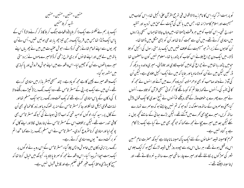حسُكين -حسُكين -حسُكين -حسُكين شهد کر بلاحسُین ایک بار ہم نے ککھنو سے ایک ذاکر بلایا (واقعات جنگ کر بلا کا ذکر کرنے والا ) اُس کے یاس ایک ڈنڈا تھا جس میں قریباً ایک در حن تیز چھر یا بندھی ہوئیں تھیں۔اُس نےاُن چھریوں سے اپنے تمام شانے زخمی کرڈالے۔حوش عقیدت میں میں نے چھریاں اپنے پاتھ میں لے لیں اور اپنے شا نوں کو بری طرح زخمی کرڈالامیر ے ماموں نے زبردستی میرے ہاتھوں سے اُن کو حجیبن لیا۔اس واقعہ سے میں اپنے حوش وخروش اور پاکبازی میں مشور ہو گیا۔ ایک واقعہ میرے بچپن کاہے مجھ کو یاد ہے۔ چند مسیحی ُمبشر بازار میں منادی کررہے تھے۔اُن میں سے ایک یو۔پی کے مسٹر ٹامس تھے۔وہ ایک رنگ ریز ( کیپڑے رنگنےوالا ) کی د کان کے پاس منادی کررہے تھے کہ یک لخت وہ رنگ ریز حوایک مسلم تھااور نہایت قومی ہیکل تھا لگلااور جا کرمسٹر ٹامس کے منہ پر تھوک دیااور زور کا طمانچہ بھی اُن کے گال پر رسید کیا۔لوگوں کو امید تھی کہ اب لڑائی ہوجائے گی کیونکہ مسٹر ٹامس بھی کافی تندرست تھے۔لیکن برخلاف اس کے مسٹر ٹامس نے اپنارومال لکالااور اپنے گال کو پونچھ لیااور منادی کرناسٹروع کردی۔مسٹر ٹامس نے اس مسلم رنگ ریز سے کہا "خدا تم کو بر کت دے " یوں وہ منادی کرتے رہے۔ ر نگ ریزا بنی د کان میں خاموش واپس چلا گیا۔مسٹر ٹامس کے اس روپہ نے لوگوں پر ا یک بہت احیاا ثر پیدا کیا۔اس واقعہ نے مجھ کو سمر تا پا بلادیا۔ کیونکہ میں خیال کرتا تھا کہ مسیح کا پہاڑی وعظ ایک عنیر عملی تعلیم ہے اور قابل قسول نہیں ہے۔

اُو پر بهت اثر کیا۔اس کا نام زیدۃ الااقوال فی تمریح القرآن علیٰ انجیل تھا۔اس کتاب میں مسیحیت اور اسلام کاموازا نہ تھا۔ حس میں بائبل کی آیات کے حن میں تردید اور تنقید مندرج تھی۔اس کتاب کومیں ہر وقت پڑھتا تھا۔میں وہاں جاتا تھاجہاں مسیحی بازاروں میں منادی کرتے تھے۔میں اُن سے حجت کرتا تھااور اُن کو بڑی مشکل میں ڈالتا تھا۔ اُن کتا بوں کے زیر اثر حبومسیحیت کے خلاف تھیں میں ایک بار متی رسول کی انجیل کو جلا ڈالا۔ میں ایک دن حیراغ جلائے اس کتاب کو پڑھ رہا تھا۔معلوم نہیں کون سامضمون تھا حومیں پڑھ رہا تھامیں نے حیراع کی لومیں کتاب لگادی اور جلاڈالی۔میری والدہ بہ دیکھ کر ڈر کئیں لیکن میں نے اُن کو دلاسا دیا اور بتا پا کہ میں نے ایک انجیل جلادی ہے۔لیکن اُن کی آواز نے والد صاحب کو بھی ادھرمتوجہ کردیاوہ کھرے میں آئے اور انہوں نے مجھ کو کا ٹی تنسہ کی۔اُنہوں نے <sub>ک</sub>ما بتاؤ تم کو کیسا لگے گا اگر کو ٹی مسیحی قرآن کو جلادے۔اُنہوں نے میرے چہرے پر خوف وڈر کے آثار دیکھے تواُنہوں نے شیخ سعدی کاایک قول پیش کیا یعنی دوسمروں کے ساتھ وہ سلوک نہ کروحو کہ تم نہیں چاہتے ہو کہ دوسمرے تہارے ساتھ کریں۔میرے چچابھی کھرے میں آگئے تھے۔لیکن بڑے ہعائی کے سامنے تحچھ بول نہ سکے لیکن بعد میں میرے چچانے مجھ سے کہا کہ حو تحچھ بھی میں نے کیا ہے ایک بڑا کام ہے یہ گناہ نہیں ہے۔ مقرم کامہینہ شیعہ مسلما نوں کے لئے ایک پاک مہینہ ماناجاتاہے کیونکہ حصرت امام حسین اس ماہ قتل ہوئے تھے۔ ہر سال اس ماہ سے حپودہ روز قبل شیعہ لڑکے جمع ہو کرایک جلوس شہر کی سمڑکوں پر نکالتے تھے اور میرے چار ساتھی میرے ساتھ یہ نعرہ لگاتے تھے۔اور اپناسینہ پی<u>ٹتے تھے</u> ۔-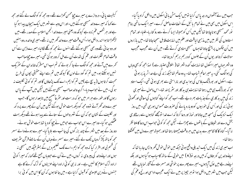گیفیت یا ئی۔ دروازے پر میرے چچامحس کھڑے تھے۔وہ مجھ کو کوالگ لے گئے اور مجھ سے کہا کہ میرے والد مسیحی ہوگئے بیں۔اور اس وجہ سے شہر میں ایک ہیچان پیدا ہو گیا ہےاور ہر شخص عم زدہ ہے کیونکہ وہ یعنی میرے والد انجمن اسلامیہ کے صدر تھے۔میں لڑکھڑا تاہوااندر داخل ہوا۔اُس وقت میرے والد گھر میں نہ تھے۔میری والدہ ،دو بہنیں اور دو سِائی تھے وہ بھی مسیحی ہوگئے تھے انہوں نے مجھ کو گلے لگالیا۔میرے ذہن سے اُس وقت تمام تفکرات اور عم کی شدت اُن سے مل کر دور ہو گئ تھی۔میرے چچاصاحب تحمرے میں آئے اور مجھ کوالگ لے جا کر بولے کہ تم اب اس مشرک خاندان کے مثر یک نہیں ہوسکتے ہو۔میں تم کو گود لےلوں گا کیونکہ میں تم سے اپنے حقیقی بچوں کی طرح محبت کرتا ہوں ( ہہ سچ ہے )میں تم کوایم۔اے تک پڑھاؤں گااور تم کو کو ٹی ٹکلیف نہ ہو گی ۔میں نے حواب دیا۔اگرچہ والد صاحب مسیحی ہوگئے ہیں لیکن میں آپ کے پاس رہوں گا اور طور سے ہر امر میں حو کہ درست اور سثر عاصحیح بیں تا بعدار ہوں گا۔جب مبیرے والد گھر آئے تووہ مجھ کو دیکھ بہت حوش ہوگئے لیکن میں اُن کے چہرے پر د کھ اور نکلیف کے نشان حو کہ اُن کے شہر والوں کے ستانے سے پیدا ہوئے تھے دیکھ بہت عمْمگین ہو گیا۔وہ میرے اس حواب سے حومیں نے چچا کو دیا تھا بہت خوش ہوئے۔ دوروز کے بعد میں شہر کے چند بزر گوں کی جانب سے بلایا گیا۔میرے ہونےوالے سسر مجھ کو ہاتھ پکڑ کروہاں تک لے گئے۔میر سے سسر نے وہاں اُن کے سامنے قرآن سٹریف کی فسم لی اور اقرار کیا کہ وہ مجھ کوایم ۔اے تک تعلیم دیں گے بسٹر طیکہ میں مسیحی نہ ہوں اور اپنے والد کی پیر وی نہ کروں۔میں نے ُاُن سے حووباں جمع تھے کہا ، کہ میرا کو ٹی ارادہ ترک اسلام کا نہیں ہے۔اور نہ ہی کوئی ارادہ اپنے عزیزوں کو ترک کرنے کا ہے جنہوں نے دین عیسوی کو قبول کرلیاہے۔میں جا نتا ہوں کہ اُن کااس میں کو ٹی برا

حب میں نے آٹھواں درجہ پاس کرلیا تو میں ایک مشن یا ئی اسکول میں داخل کرادیا گیا۔ اس اسکول میں بھی میں نے تمام یا ئبل کے ا نعامات حاصل کرے۔میر اایک ساتھی بنام نور محمد مسیحی ہوناچاہتا تھالیکن میں اُس کو ہمیشہ ایسا کرنے سے رو کتار با-طلباء اور تمام استادوں کی نظر میں میں مذہبی لیاقت اور علم میں نہایت قابل سمجھاجاتا تھا۔میں بازاروں میں اُن حِکْموں پر پہنچ جاتا تھاجہاں مسیحی منادی کرتے تھے۔میں اُن سے عجیب عجیب سوالات کرتا اور یوں اُن کے جلسوں کو درہم برہم کردیتا تھا۔ وہ شہر حہاں میر ااسکول تھا نہایت گندہ شہر تھا( اخلاقی اعتبار سے ) لہذامجھ کو بھی وباں کی ہوالگ کئی۔ یہ میراعالم شباب تھا۔ یہ وہ عالم تعاجبکہ زند گی بے حد اثریذیر ہو تی ہے۔اسکول اور بورڈ نگ باؤس کی ہوا بدی اور ناراستی سے بھری ہو ئی تھی۔ایک استاد حبو کہ بورڈنگ ہی میں رہتا تھا نہایت ہی بد کار اور سٹر پسند تھا۔اس ماحول نے میری ز ند کی میں بد کاری کے جذبات بھر دیے تھے۔اب مجھ کو اپنے گناہوں کی معافی اور تھو ٹی ہو ئی زند گی اور اُس کی خوبیوں کو دو مارہ پانے کی صرورت محسوس ہورہی تھی۔میں روز ا یک نزد یک کی مسجد میں جاتا اور نماز اور دعا کرتا کہ اے خدا تومجھے گناہوں سے رسنگاری بخش دے اور شدیطان کے باتھوں سے چھڑالے۔لیکن مجھ کو کو ٹی حواب اس دعا کا ملتا نظر نہ آیا۔گناہ کا کا نٹامیرے بدن میں ہر وقت جبھتارہتا تھااور ہمیشہ میرے دل میں تھٹکتا

اب میری زندگی میں ایک تبدیلی واقع ہوئی جبکہ میں خوش خوش گھر واپس جارہا تھا کہ اپنےوالدین کو بتاؤں کہ میں درجہ نو( ۹ ) میں خو پی کے ساتھ کامیاب ہو گیا ہوں اور بلکہ اپنے درجے میں اوّل آباہوں۔میرے چیرے پر خوشی اور مسرت کے آثار نما بال تھے لیکن حب میں شہر میں داخل ہوا تو ہر حپیز پر میں نے ایک عجیب اداسی اور رنج وغم کی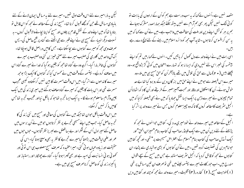لیکن یہ ذرامیرے لئے اس وقت ادق تھیں۔میرے لئے یہ مسائل ایمان لانے کے لئے بنبادی مسائل تھے حٖن کومجھے قسول کرنا تھا۔مسیح زند کی کےمطالعہ نے مجھ کواس قابل نو بناد یا تھا کہ میں اپنے والد کے نقش قدم پر چلوں اور مسیح کو اپنا بچانے والاقسول کروں - ہہ نسبت دیگرانبیاءکے مسح ہی نے اپنے قسر سے جی اٹھنے سے گناہ پر فتح حاصل کی۔ پس صرف وہی مجھ کومبیر سے گناہوں سے بچاسکتا ہے۔جس کامیں دراصل قائل ہوجکا تھا۔ اک آن واحد میں کلوری کی صلیب میرے لئے معنی خیبز بن کئی وہ صلیب پر میرے گناہوں کی خاطر مارا گیا۔اگرچہ وہ بے گناہ تھامجھ کو یقین ہوگیا کہ خدا نے میرے گناہ اس میں معاف کردئیے۔ بپتسمہ کے وقت میں نے محسوس کیا کہ گناہوں کاایک بڑا بوجھہ میرے کا ندھوں سے اتر گیا۔میں اس وقت مسر ت کا بین نہیں کرسکتاوہ کیسی عجیب مسرت تھی اور اس بات کا یقین کہ میرے گناہ معاف ہوگئے ہیں میری زندگی میں ایک چین وآرام سامعلوم ہونے لگا۔ یہ ایک ایسا تجربہ تھاجو کہ پالکل نیااور عجیب تجربہ تھاجس کامیں ذکر نہیں کرسکتا۔ میں اس وقت بالکل حوان تھا حبکہ میں نے گناہوں کی معافی اور مسیح میں نئی زند کی کا تحریہ حاصل کیا۔ حب میں اپنے مسیحی تحربے پر نظر کرتاہوں حومیں نے اُن برسوں میں حاصل کئے میر ادل اُس کے شکر اور بے بہافضل سے لیریز نظر آتا ہوں۔حوں حوں میں عمر اور علمی لباقت میں بڑھتا گیامیرے تجربے کا نظریہ بھی وسیج ہوتا گیا۔اس کی حقیقت اور زیادہ عیاں ہو تی گئی۔میر اعقیدہ کہ صرف مسح مصلوب ہی اس ٹو ٹی اور کھو ئی ہو ئی انسانیت کی امید ہے اور بھی گھر امو تا گیا۔ گناہ سے چھٹکارا اور راستیار اور یا کیمزہ زند گی کوحاصل کرناصرف مسیح ہی میں ہے۔

مقصد نہیں ہے۔اُنہوں نے کہا کہ بیہ سب درست ہے ہم کو اُن کے ارادوں کی بابت نو کوئی ننگ نہیں لیکن پھر بھی ہم آرام سے نہیں بیٹھ سکتے جبکہ ہماراصدر مشرک ہوجائے ہم پر ہر کوشش اپنے دین اور ملت کی حفاظت میں واحب ہے۔میں نے اُن سے کہا کہ میں یہ سن کرافسوس کر تاہوں ۔شاید آپ مجھ کو دائرہ اسلام میں رہنے کے لئے لالچ دے رہے

اسی رات میں نے اپنے والد سے دل کھول کر باتیں کیں۔انہوں لے <sub>ک</sub>ہا،میں تم کو اپنے بپشمسہ کی خسر اس لئے نہیں دی کہ ایسا نہ ہو کہ تہارے امتحان میں کو ٹی گڑ بڑواقع ہو۔وہ پچھلے بیس ( • ۲ )سال سے حق کی تلاش میں تھے بالاآخر اُن کو حق مسح ہی میں ملا۔وہ میرے اس فیصلہ سے حومیں نے اپنے حق میں بزر گان دین کے روبرو کیا تھا بے حد خوش ہوئے۔اُن کا استئلال اور وقار اور محبت آمیز صبر کے طریقے اور اُن کا د کھ اٹھا نااُن تمام چیزوں نے میرے ذہن پرایک ایسا نقش حماد پا کہ میں نے بھی فیصلہ کرلیا کہ میں انجیل سٹریف کامطالعہ کروں گا تا کہ وہ جییز معلوم کروں جس نے میرے والدیرا ٹر کیا

انجیل کےمطالعہ میں میرے والد نے خود میری مد د کی۔ کتابیں حوانہوں نے مجھ کو پڑھنے کے لئے دیں اُن میں سے ایک فینڈر صاحب کی کتاب بنام "میزان الحق" اور ا یک ٹریڑل صاحب کی کتاب بنام "اسلام کے اعتراض مسیحیت پر" تھی۔اور کحچھ کتابیں حبوامام دین کی تصنیف کردہ تھیں -میں نے اُن کتا بوں کو بڑی ہوشیاری سے پڑھا۔ان کتابوں نے مجھ کو قائل کردیا کہ انجیل سٹریف مستند ہے جس میں مسج کے سچے اقوال مندرج بیں۔اب حور کاوٹ میرے بپتسمہ لینے میں تھی توصرف ان تین مسائل پر تھی (۱)الوہیت مسح ،(۲) کفارہ ،(سل) تثلیث ۔میرےوالد نے مجھ کوچند اور کتابیں دیں